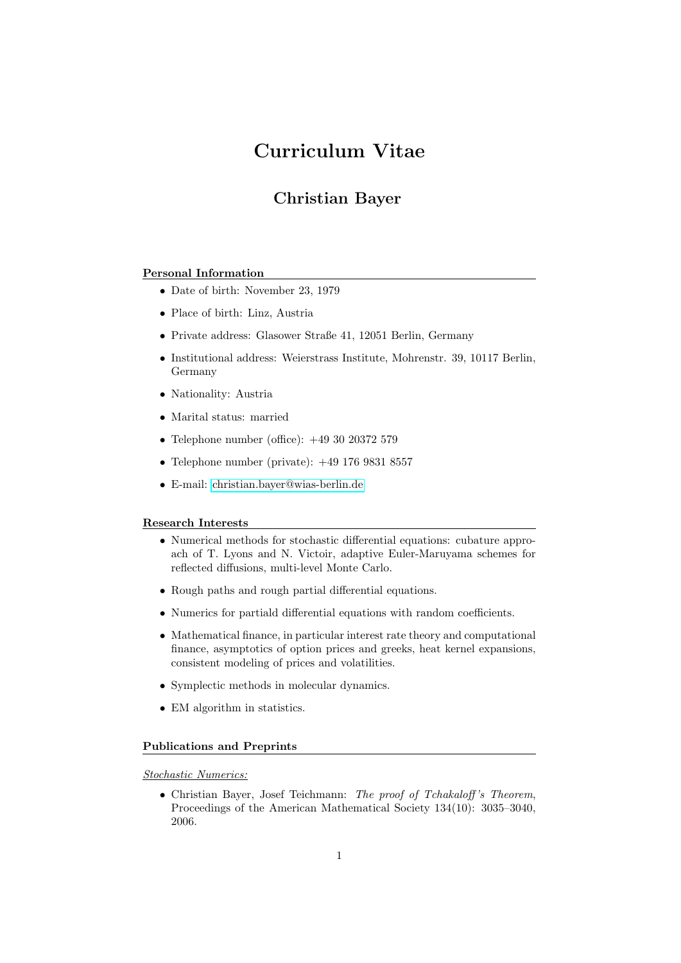# Curriculum Vitae

# Christian Bayer

### Personal Information

- Date of birth: November 23, 1979
- Place of birth: Linz, Austria
- Private address: Glasower Straße 41, 12051 Berlin, Germany
- Institutional address: Weierstrass Institute, Mohrenstr. 39, 10117 Berlin, Germany
- Nationality: Austria
- Marital status: married
- Telephone number (office): +49 30 20372 579
- Telephone number (private):  $+49$  176 9831 8557
- E-mail: [christian.bayer@wias-berlin.de](mailto:christian.bayer@wias-berlin.de)

#### Research Interests

- Numerical methods for stochastic differential equations: cubature approach of T. Lyons and N. Victoir, adaptive Euler-Maruyama schemes for reflected diffusions, multi-level Monte Carlo.
- Rough paths and rough partial differential equations.
- Numerics for partiald differential equations with random coefficients.
- Mathematical finance, in particular interest rate theory and computational finance, asymptotics of option prices and greeks, heat kernel expansions, consistent modeling of prices and volatilities.
- Symplectic methods in molecular dynamics.
- EM algorithm in statistics.

#### Publications and Preprints

Stochastic Numerics:

• Christian Bayer, Josef Teichmann: The proof of Tchakaloff 's Theorem, Proceedings of the American Mathematical Society 134(10): 3035–3040, 2006.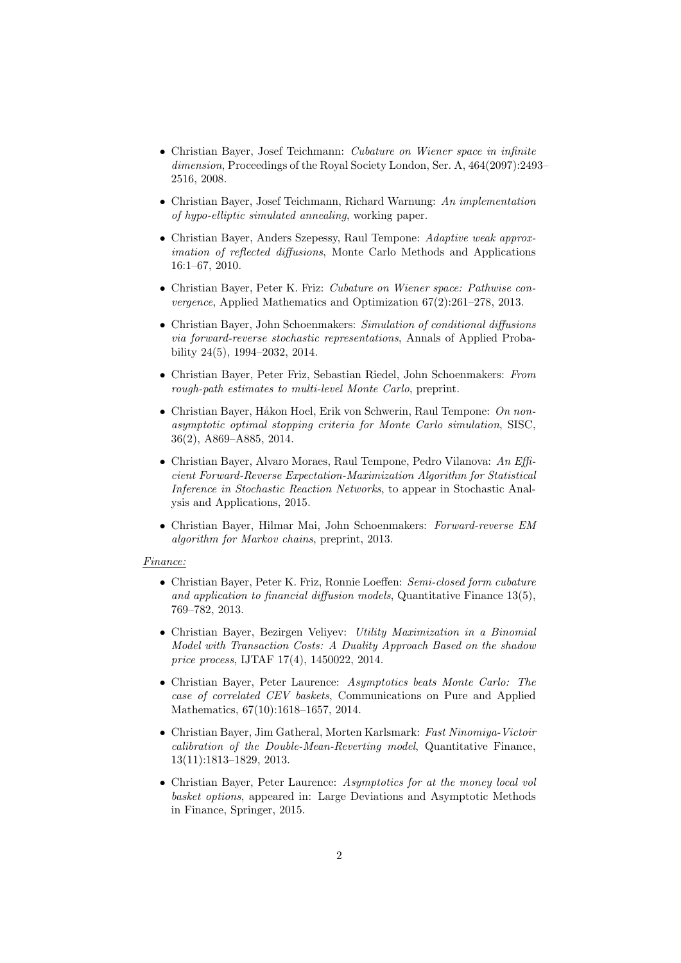- Christian Bayer, Josef Teichmann: Cubature on Wiener space in infinite dimension, Proceedings of the Royal Society London, Ser. A, 464(2097):2493-2516, 2008.
- Christian Bayer, Josef Teichmann, Richard Warnung: An implementation of hypo-elliptic simulated annealing, working paper.
- Christian Bayer, Anders Szepessy, Raul Tempone: Adaptive weak approximation of reflected diffusions, Monte Carlo Methods and Applications 16:1–67, 2010.
- Christian Bayer, Peter K. Friz: Cubature on Wiener space: Pathwise convergence, Applied Mathematics and Optimization 67(2):261–278, 2013.
- Christian Bayer, John Schoenmakers: Simulation of conditional diffusions via forward-reverse stochastic representations, Annals of Applied Probability 24(5), 1994–2032, 2014.
- Christian Bayer, Peter Friz, Sebastian Riedel, John Schoenmakers: From rough-path estimates to multi-level Monte Carlo, preprint.
- Christian Bayer, Håkon Hoel, Erik von Schwerin, Raul Tempone: On nonasymptotic optimal stopping criteria for Monte Carlo simulation, SISC, 36(2), A869–A885, 2014.
- Christian Bayer, Alvaro Moraes, Raul Tempone, Pedro Vilanova: An Efficient Forward-Reverse Expectation-Maximization Algorithm for Statistical Inference in Stochastic Reaction Networks, to appear in Stochastic Analysis and Applications, 2015.
- Christian Bayer, Hilmar Mai, John Schoenmakers: Forward-reverse EM algorithm for Markov chains, preprint, 2013.

#### Finance:

- Christian Bayer, Peter K. Friz, Ronnie Loeffen: Semi-closed form cubature and application to financial diffusion models, Quantitative Finance  $13(5)$ , 769–782, 2013.
- Christian Bayer, Bezirgen Veliyev: Utility Maximization in a Binomial Model with Transaction Costs: A Duality Approach Based on the shadow price process, IJTAF 17(4), 1450022, 2014.
- Christian Bayer, Peter Laurence: Asymptotics beats Monte Carlo: The case of correlated CEV baskets, Communications on Pure and Applied Mathematics, 67(10):1618–1657, 2014.
- Christian Bayer, Jim Gatheral, Morten Karlsmark: Fast Ninomiya-Victoir calibration of the Double-Mean-Reverting model, Quantitative Finance, 13(11):1813–1829, 2013.
- Christian Bayer, Peter Laurence: Asymptotics for at the money local vol basket options, appeared in: Large Deviations and Asymptotic Methods in Finance, Springer, 2015.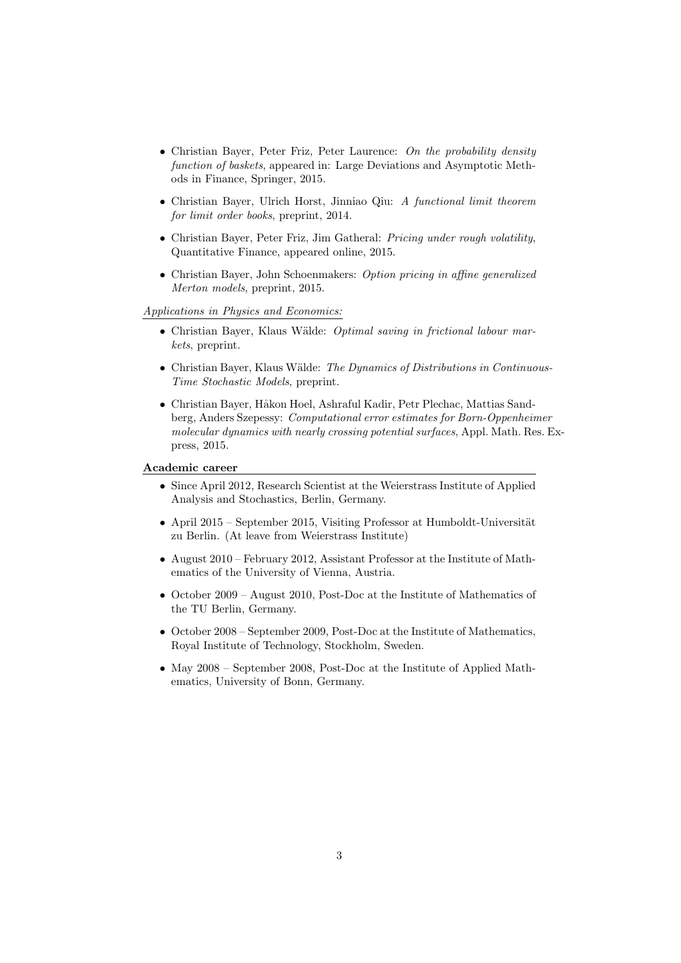- Christian Bayer, Peter Friz, Peter Laurence: On the probability density function of baskets, appeared in: Large Deviations and Asymptotic Methods in Finance, Springer, 2015.
- Christian Bayer, Ulrich Horst, Jinniao Qiu: A functional limit theorem for limit order books, preprint, 2014.
- Christian Bayer, Peter Friz, Jim Gatheral: Pricing under rough volatility, Quantitative Finance, appeared online, 2015.
- Christian Bayer, John Schoenmakers: Option pricing in affine generalized Merton models, preprint, 2015.

Applications in Physics and Economics:

- Christian Bayer, Klaus Wälde: Optimal saving in frictional labour markets, preprint.
- Christian Bayer, Klaus Wälde: The Dynamics of Distributions in Continuous-Time Stochastic Models, preprint.
- Christian Bayer, Håkon Hoel, Ashraful Kadir, Petr Plechac, Mattias Sandberg, Anders Szepessy: Computational error estimates for Born-Oppenheimer molecular dynamics with nearly crossing potential surfaces, Appl. Math. Res. Express, 2015.

#### Academic career

- Since April 2012, Research Scientist at the Weierstrass Institute of Applied Analysis and Stochastics, Berlin, Germany.
- April 2015 September 2015, Visiting Professor at Humboldt-Universität zu Berlin. (At leave from Weierstrass Institute)
- August 2010 February 2012, Assistant Professor at the Institute of Mathematics of the University of Vienna, Austria.
- October 2009 August 2010, Post-Doc at the Institute of Mathematics of the TU Berlin, Germany.
- October 2008 September 2009, Post-Doc at the Institute of Mathematics, Royal Institute of Technology, Stockholm, Sweden.
- May 2008 September 2008, Post-Doc at the Institute of Applied Mathematics, University of Bonn, Germany.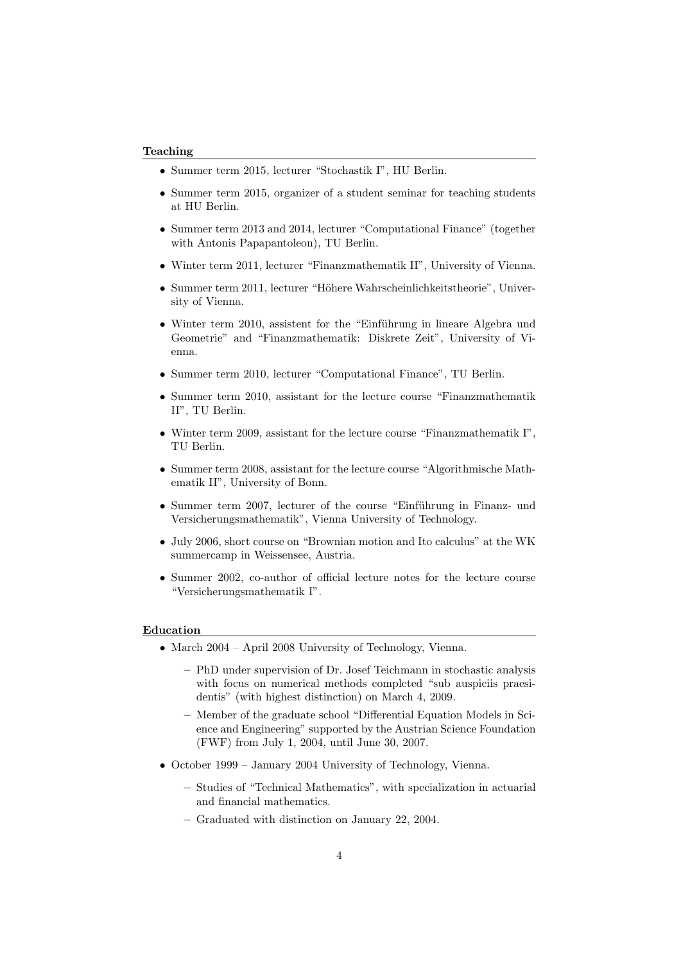#### Teaching

- Summer term 2015, lecturer "Stochastik I", HU Berlin.
- Summer term 2015, organizer of a student seminar for teaching students at HU Berlin.
- Summer term 2013 and 2014, lecturer "Computational Finance" (together with Antonis Papapantoleon), TU Berlin.
- Winter term 2011, lecturer "Finanzmathematik II", University of Vienna.
- Summer term 2011, lecturer "Höhere Wahrscheinlichkeitstheorie", University of Vienna.
- Winter term 2010, assistent for the "Einführung in lineare Algebra und Geometrie" and "Finanzmathematik: Diskrete Zeit", University of Vienna.
- Summer term 2010, lecturer "Computational Finance", TU Berlin.
- Summer term 2010, assistant for the lecture course "Finanzmathematik II", TU Berlin.
- Winter term 2009, assistant for the lecture course "Finanzmathematik I". TU Berlin.
- Summer term 2008, assistant for the lecture course "Algorithmische Mathematik II", University of Bonn.
- Summer term 2007, lecturer of the course "Einführung in Finanz- und Versicherungsmathematik", Vienna University of Technology.
- July 2006, short course on "Brownian motion and Ito calculus" at the WK summercamp in Weissensee, Austria.
- Summer 2002, co-author of official lecture notes for the lecture course "Versicherungsmathematik I".

#### Education

- March 2004 April 2008 University of Technology, Vienna.
	- PhD under supervision of Dr. Josef Teichmann in stochastic analysis with focus on numerical methods completed "sub auspiciis praesidentis" (with highest distinction) on March 4, 2009.
	- Member of the graduate school "Differential Equation Models in Science and Engineering" supported by the Austrian Science Foundation (FWF) from July 1, 2004, until June 30, 2007.
- October 1999 January 2004 University of Technology, Vienna.
	- Studies of "Technical Mathematics", with specialization in actuarial and financial mathematics.
	- Graduated with distinction on January 22, 2004.